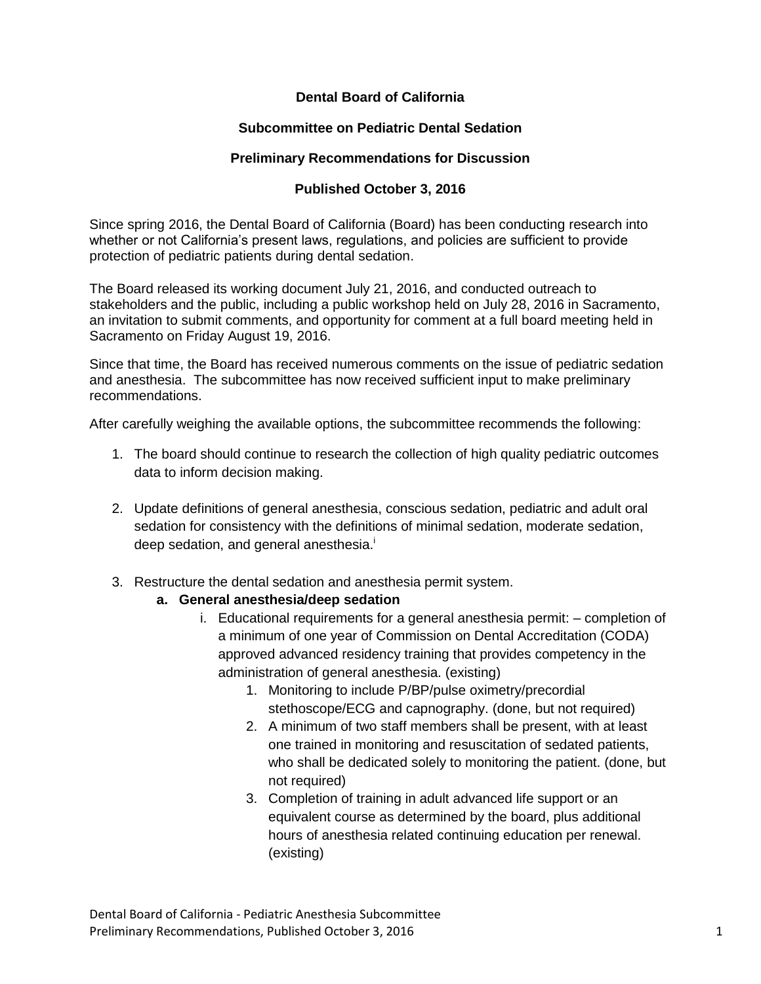## **Dental Board of California**

### **Subcommittee on Pediatric Dental Sedation**

#### **Preliminary Recommendations for Discussion**

## **Published October 3, 2016**

Since spring 2016, the Dental Board of California (Board) has been conducting research into whether or not California's present laws, regulations, and policies are sufficient to provide protection of pediatric patients during dental sedation.

The Board released its working document July 21, 2016, and conducted outreach to stakeholders and the public, including a public workshop held on July 28, 2016 in Sacramento, an invitation to submit comments, and opportunity for comment at a full board meeting held in Sacramento on Friday August 19, 2016.

Since that time, the Board has received numerous comments on the issue of pediatric sedation and anesthesia. The subcommittee has now received sufficient input to make preliminary recommendations.

After carefully weighing the available options, the subcommittee recommends the following:

- 1. The board should continue to research the collection of high quality pediatric outcomes data to inform decision making.
- 2. Update definitions of general anesthesia, conscious sedation, pediatric and adult oral sedation for consistency with the definitions of minimal sedation, moderate sedation, deep sedation, and general anesthesia.<sup>i</sup>
- 3. Restructure the dental sedation and anesthesia permit system.

#### **a. General anesthesia/deep sedation**

- i. Educational requirements for a general anesthesia permit: completion of a minimum of one year of Commission on Dental Accreditation (CODA) approved advanced residency training that provides competency in the administration of general anesthesia. (existing)
	- 1. Monitoring to include P/BP/pulse oximetry/precordial stethoscope/ECG and capnography. (done, but not required)
	- 2. A minimum of two staff members shall be present, with at least one trained in monitoring and resuscitation of sedated patients, who shall be dedicated solely to monitoring the patient. (done, but not required)
	- 3. Completion of training in adult advanced life support or an equivalent course as determined by the board, plus additional hours of anesthesia related continuing education per renewal. (existing)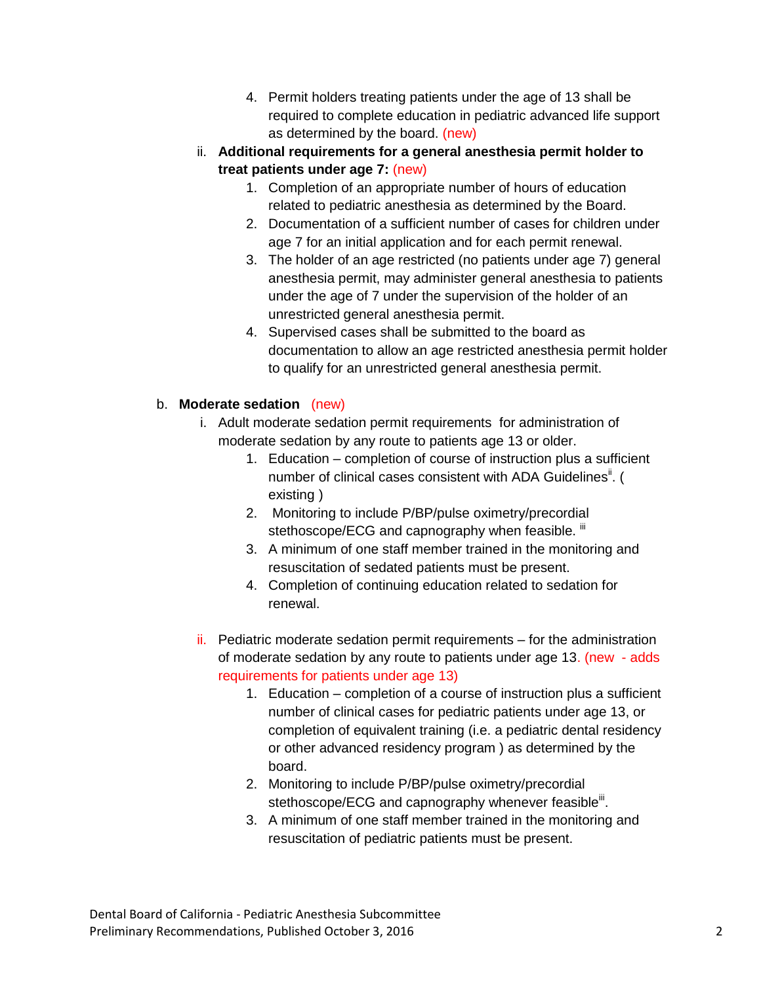- 4. Permit holders treating patients under the age of 13 shall be required to complete education in pediatric advanced life support as determined by the board. (new)
- ii. **Additional requirements for a general anesthesia permit holder to treat patients under age 7:** (new)
	- 1. Completion of an appropriate number of hours of education related to pediatric anesthesia as determined by the Board.
	- 2. Documentation of a sufficient number of cases for children under age 7 for an initial application and for each permit renewal.
	- 3. The holder of an age restricted (no patients under age 7) general anesthesia permit, may administer general anesthesia to patients under the age of 7 under the supervision of the holder of an unrestricted general anesthesia permit.
	- 4. Supervised cases shall be submitted to the board as documentation to allow an age restricted anesthesia permit holder to qualify for an unrestricted general anesthesia permit.

# b. **Moderate sedation** (new)

- i. Adult moderate sedation permit requirements for administration of moderate sedation by any route to patients age 13 or older.
	- 1. Education completion of course of instruction plus a sufficient number of clinical cases consistent with ADA Guidelines<sup>ii</sup>. ( existing )
	- 2. Monitoring to include P/BP/pulse oximetry/precordial stethoscope/ECG and capnography when feasible. <sup>iii</sup>
	- 3. A minimum of one staff member trained in the monitoring and resuscitation of sedated patients must be present.
	- 4. Completion of continuing education related to sedation for renewal.
- ii. Pediatric moderate sedation permit requirements for the administration of moderate sedation by any route to patients under age 13. (new - adds requirements for patients under age 13)
	- 1. Education completion of a course of instruction plus a sufficient number of clinical cases for pediatric patients under age 13, or completion of equivalent training (i.e. a pediatric dental residency or other advanced residency program ) as determined by the board.
	- 2. Monitoring to include P/BP/pulse oximetry/precordial stethoscope/ECG and capnography whenever feasible<sup>iit</sup>.
	- 3. A minimum of one staff member trained in the monitoring and resuscitation of pediatric patients must be present.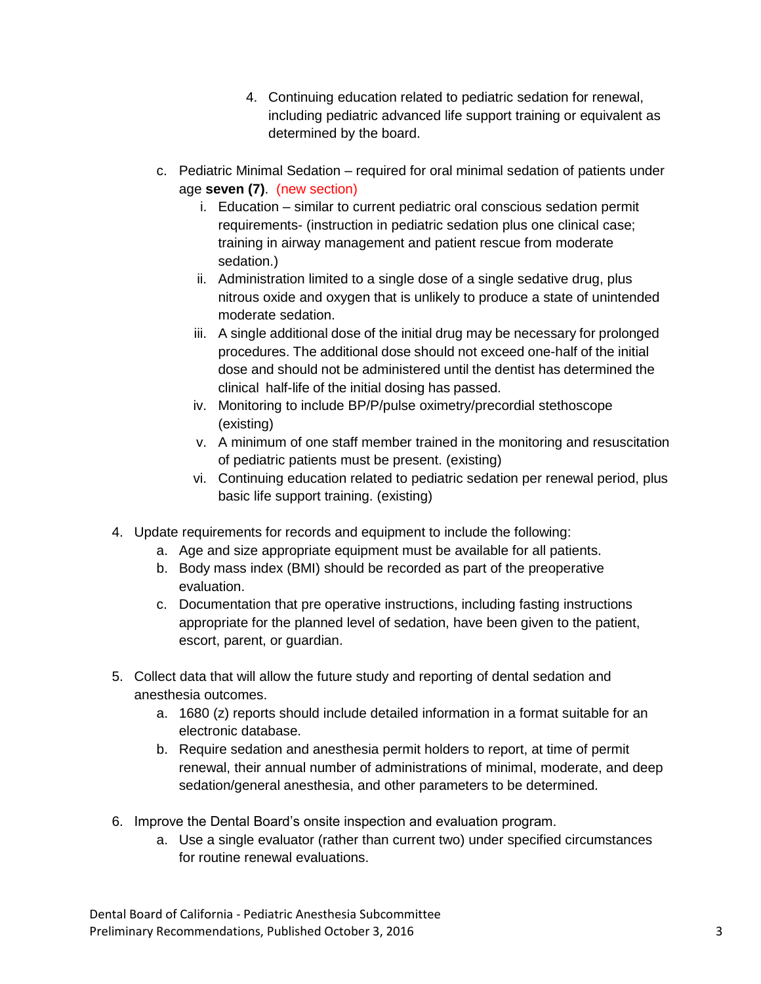- 4. Continuing education related to pediatric sedation for renewal, including pediatric advanced life support training or equivalent as determined by the board.
- c. Pediatric Minimal Sedation required for oral minimal sedation of patients under age **seven (7)**. (new section)
	- i. Education similar to current pediatric oral conscious sedation permit requirements- (instruction in pediatric sedation plus one clinical case; training in airway management and patient rescue from moderate sedation.)
	- ii. Administration limited to a single dose of a single sedative drug, plus nitrous oxide and oxygen that is unlikely to produce a state of unintended moderate sedation.
	- iii. A single additional dose of the initial drug may be necessary for prolonged procedures. The additional dose should not exceed one-half of the initial dose and should not be administered until the dentist has determined the clinical half-life of the initial dosing has passed.
	- iv. Monitoring to include BP/P/pulse oximetry/precordial stethoscope (existing)
	- v. A minimum of one staff member trained in the monitoring and resuscitation of pediatric patients must be present. (existing)
	- vi. Continuing education related to pediatric sedation per renewal period, plus basic life support training. (existing)
- 4. Update requirements for records and equipment to include the following:
	- a. Age and size appropriate equipment must be available for all patients.
	- b. Body mass index (BMI) should be recorded as part of the preoperative evaluation.
	- c. Documentation that pre operative instructions, including fasting instructions appropriate for the planned level of sedation, have been given to the patient, escort, parent, or guardian.
- 5. Collect data that will allow the future study and reporting of dental sedation and anesthesia outcomes.
	- a. 1680 (z) reports should include detailed information in a format suitable for an electronic database.
	- b. Require sedation and anesthesia permit holders to report, at time of permit renewal, their annual number of administrations of minimal, moderate, and deep sedation/general anesthesia, and other parameters to be determined.
- 6. Improve the Dental Board's onsite inspection and evaluation program.
	- a. Use a single evaluator (rather than current two) under specified circumstances for routine renewal evaluations.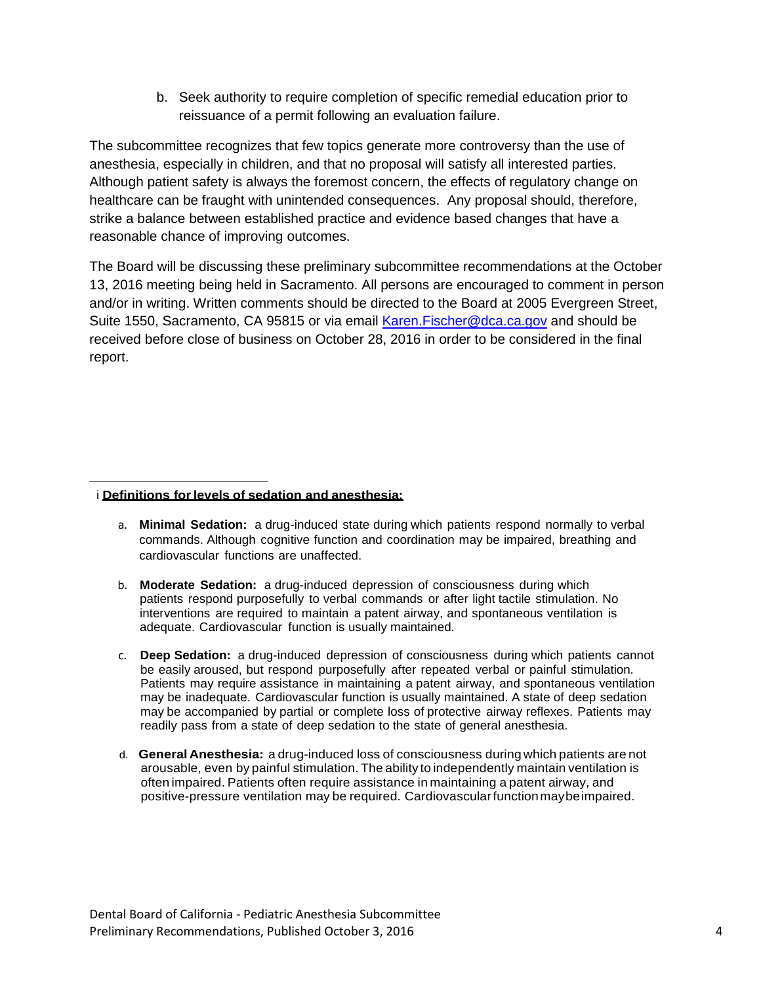b. Seek authority to require completion of specific remedial education prior to reissuance of a permit following an evaluation failure.

The subcommittee recognizes that few topics generate more controversy than the use of anesthesia, especially in children, and that no proposal will satisfy all interested parties. Although patient safety is always the foremost concern, the effects of regulatory change on healthcare can be fraught with unintended consequences. Any proposal should, therefore, strike a balance between established practice and evidence based changes that have a reasonable chance of improving outcomes.

The Board will be discussing these preliminary subcommittee recommendations at the October 13, 2016 meeting being held in Sacramento. All persons are encouraged to comment in person and/or in writing. Written comments should be directed to the Board at 2005 Evergreen Street, Suite 1550, Sacramento, CA 95815 or via email Karen. Fischer@dca.ca.gov and should be received before close of business on October 28, 2016 in order to be considered in the final report.

#### $\overline{\phantom{a}}$ i **Definitions forlevels of sedation and anesthesia:**

- a. **Minimal Sedation:** a drug-induced state during which patients respond normally to verbal commands. Although cognitive function and coordination may be impaired, breathing and cardiovascular functions are unaffected.
- b. **Moderate Sedation:** a drug-induced depression of consciousness during which patients respond purposefully to verbal commands or after light tactile stimulation. No interventions are required to maintain a patent airway, and spontaneous ventilation is adequate. Cardiovascular function is usually maintained.
- c. **Deep Sedation:** a drug-induced depression of consciousness during which patients cannot be easily aroused, but respond purposefully after repeated verbal or painful stimulation. Patients may require assistance in maintaining a patent airway, and spontaneous ventilation may be inadequate. Cardiovascular function is usually maintained. A state of deep sedation may be accompanied by partial or complete loss of protective airway reflexes. Patients may readily pass from a state of deep sedation to the state of general anesthesia.
- d. **General Anesthesia:** a drug-induced loss of consciousness during which patients are not arousable, even by painful stimulation. The ability to independently maintain ventilation is often impaired. Patients often require assistance in maintaining a patent airway, and positive-pressure ventilation may be required. Cardiovascularfunctionmaybeimpaired.